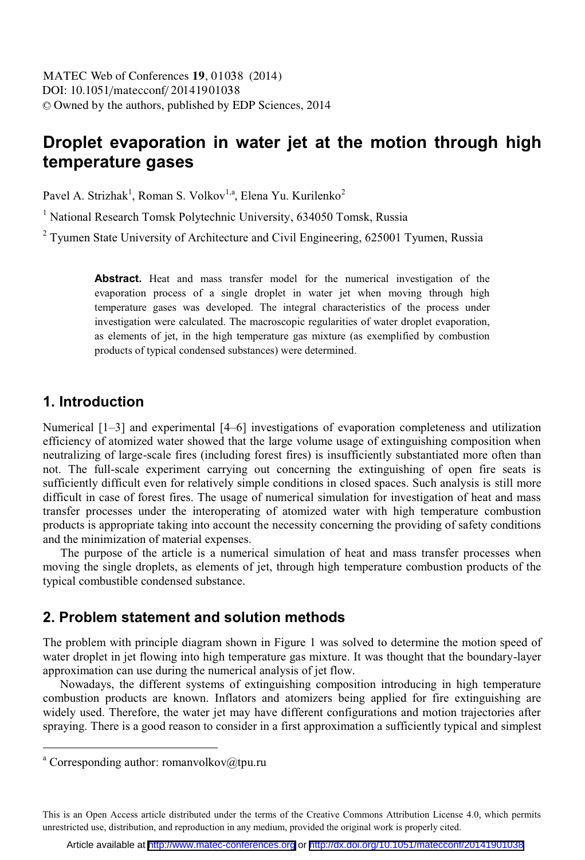# **Droplet evaporation in water jet at the motion through high temperature gases**

Pavel A. Strizhak<sup>1</sup>, Roman S. Volkov<sup>1,a</sup>, Elena Yu. Kurilenko<sup>2</sup>

<sup>1</sup> National Research Tomsk Polytechnic University, 634050 Tomsk, Russia

 $2$  Tyumen State University of Architecture and Civil Engineering, 625001 Tyumen, Russia

**Abstract.** Heat and mass transfer model for the numerical investigation of the evaporation process of a single droplet in water jet when moving through high temperature gases was developed. The integral characteristics of the process under investigation were calculated. The macroscopic regularities of water droplet evaporation, as elements of jet, in the high temperature gas mixture (as exemplified by combustion products of typical condensed substances) were determined.

#### **1. Introduction**

Numerical [1–3] and experimental [4–6] investigations of evaporation completeness and utilization efficiency of atomized water showed that the large volume usage of extinguishing composition when neutralizing of large-scale fires (including forest fires) is insufficiently substantiated more often than not. The full-scale experiment carrying out concerning the extinguishing of open fire seats is sufficiently difficult even for relatively simple conditions in closed spaces. Such analysis is still more difficult in case of forest fires. The usage of numerical simulation for investigation of heat and mass transfer processes under the interoperating of atomized water with high temperature combustion products is appropriate taking into account the necessity concerning the providing of safety conditions and the minimization of material expenses.

The purpose of the article is a numerical simulation of heat and mass transfer processes when moving the single droplets, as elements of jet, through high temperature combustion products of the typical combustible condensed substance.

#### **2. Problem statement and solution methods**

The problem with principle diagram shown in Figure 1 was solved to determine the motion speed of water droplet in jet flowing into high temperature gas mixture. It was thought that the boundary-layer approximation can use during the numerical analysis of jet flow.

Nowadays, the different systems of extinguishing composition introducing in high temperature combustion products are known. Inflators and atomizers being applied for fire extinguishing are widely used. Therefore, the water jet may have different configurations and motion trajectories after spraying. There is a good reason to consider in a first approximation a sufficiently typical and simplest

 $\overline{a}$ 

This is an Open Access article distributed under the terms of the Creative Commons Attribution License 4.0, which permits unrestricted use, distribution, and reproduction in any medium, provided the original work is properly cited.

a Corresponding author: romanvolkov@tpu.ru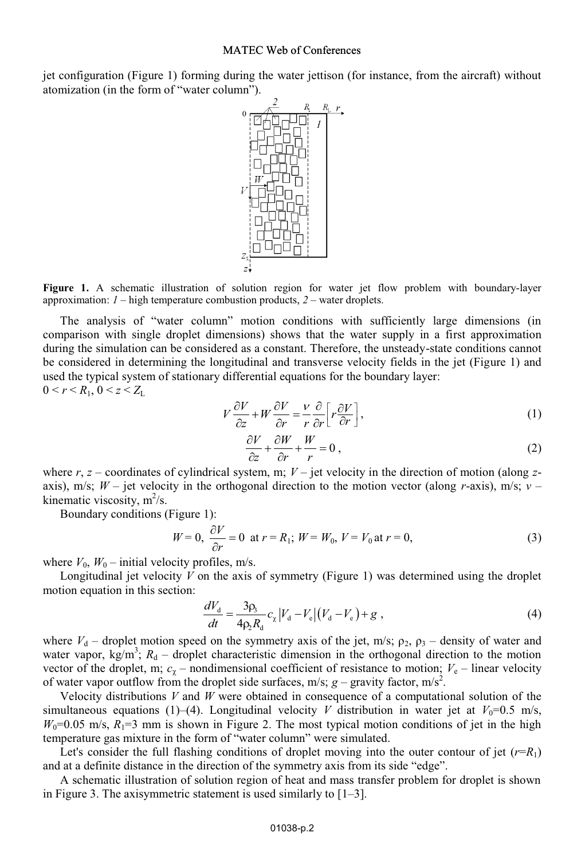#### MATEC Web of Conferences

jet configuration (Figure 1) forming during the water jettison (for instance, from the aircraft) without atomization (in the form of "water column").



**Figure 1.** A schematic illustration of solution region for water jet flow problem with boundary-layer approximation: *1* – high temperature combustion products, *2* – water droplets.

The analysis of "water column" motion conditions with sufficiently large dimensions (in comparison with single droplet dimensions) shows that the water supply in a first approximation during the simulation can be considered as a constant. Therefore, the unsteady-state conditions cannot be considered in determining the longitudinal and transverse velocity fields in the jet (Figure 1) and used the typical system of stationary differential equations for the boundary layer:  $0 < r < R_1, 0 < z < Z_L$ 

$$
V\frac{\partial V}{\partial z} + W\frac{\partial V}{\partial r} = \frac{V}{r}\frac{\partial}{\partial r}\bigg[r\frac{\partial V}{\partial r}\bigg],\tag{1}
$$

$$
\frac{\partial V}{\partial z} + \frac{\partial W}{\partial r} + \frac{W}{r} = 0,
$$
\n(2)

where  $r$ ,  $z$  – coordinates of cylindrical system, m;  $V$  – jet velocity in the direction of motion (along  $z$ axis), m/s; *W* – jet velocity in the orthogonal direction to the motion vector (along *r*-axis), m/s; *ν* – kinematic viscosity,  $m^2/s$ .

Boundary conditions (Figure 1):

$$
W = 0, \ \frac{\partial V}{\partial r} = 0 \ \text{at } r = R_1; \ W = W_0, \ V = V_0 \text{at } r = 0,
$$
 (3)

where  $V_0$ ,  $W_0$  – initial velocity profiles, m/s.

Longitudinal jet velocity *V* on the axis of symmetry (Figure 1) was determined using the droplet motion equation in this section:

$$
\frac{dV_{\rm d}}{dt} = \frac{3\rho_{\rm s}}{4\rho_{\rm s}R_{\rm d}} c_{\rm g} |V_{\rm d} - V_{\rm e}|(V_{\rm d} - V_{\rm e}) + g \tag{4}
$$

where  $V_d$  – droplet motion speed on the symmetry axis of the jet, m/s;  $\rho_2$ ,  $\rho_3$  – density of water and water vapor,  $kg/m^3$ ;  $R_d$  – droplet characteristic dimension in the orthogonal direction to the motion vector of the droplet, m;  $c_{\gamma}$  – nondimensional coefficient of resistance to motion;  $V_e$  – linear velocity of water vapor outflow from the droplet side surfaces, m/s;  $g$  – gravity factor, m/s<sup>2</sup>.

Velocity distributions *V* and *W* were obtained in consequence of a computational solution of the simultaneous equations (1)–(4). Longitudinal velocity *V* distribution in water jet at  $V_0$ =0.5 m/s,  $W_0$ =0.05 m/s,  $R_1$ =3 mm is shown in Figure 2. The most typical motion conditions of jet in the high temperature gas mixture in the form of "water column" were simulated.

Let's consider the full flashing conditions of droplet moving into the outer contour of jet  $(r=R_1)$ and at a definite distance in the direction of the symmetry axis from its side "edge".

A schematic illustration of solution region of heat and mass transfer problem for droplet is shown in Figure 3. The axisymmetric statement is used similarly to  $[1-3]$ .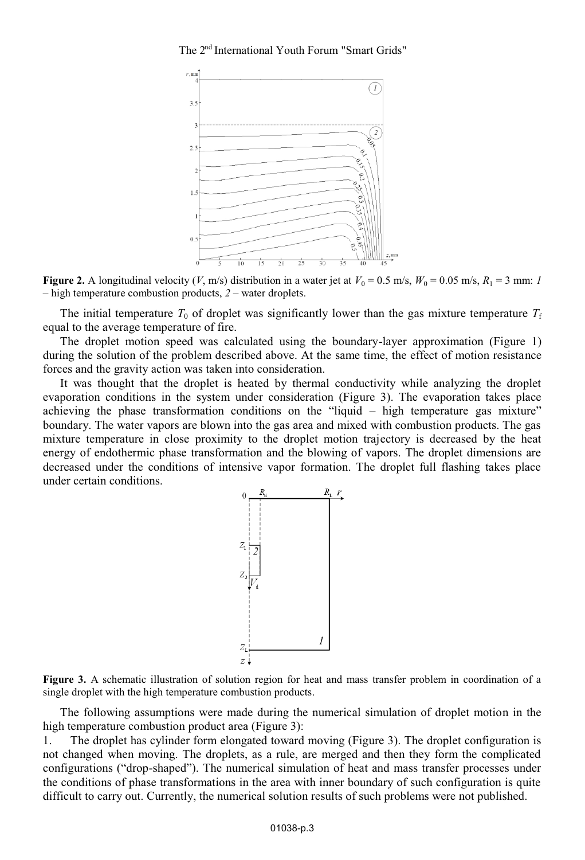The 2<sup>nd</sup> International Youth Forum "Smart Grids"



**Figure 2.** A longitudinal velocity (*V*, m/s) distribution in a water jet at  $V_0 = 0.5$  m/s,  $W_0 = 0.05$  m/s,  $R_1 = 3$  mm: *1* – high temperature combustion products, *2* – water droplets.

The initial temperature  $T_0$  of droplet was significantly lower than the gas mixture temperature  $T_f$ equal to the average temperature of fire.

The droplet motion speed was calculated using the boundary-layer approximation (Figure 1) during the solution of the problem described above. At the same time, the effect of motion resistance forces and the gravity action was taken into consideration.

It was thought that the droplet is heated by thermal conductivity while analyzing the droplet evaporation conditions in the system under consideration (Figure 3). The evaporation takes place achieving the phase transformation conditions on the "liquid – high temperature gas mixture" boundary. The water vapors are blown into the gas area and mixed with combustion products. The gas mixture temperature in close proximity to the droplet motion trajectory is decreased by the heat energy of endothermic phase transformation and the blowing of vapors. The droplet dimensions are decreased under the conditions of intensive vapor formation. The droplet full flashing takes place under certain conditions.



**Figure 3.** A schematic illustration of solution region for heat and mass transfer problem in coordination of a single droplet with the high temperature combustion products.

The following assumptions were made during the numerical simulation of droplet motion in the high temperature combustion product area (Figure 3):

1. The droplet has cylinder form elongated toward moving (Figure 3). The droplet configuration is not changed when moving. The droplets, as a rule, are merged and then they form the complicated configurations ("drop-shaped"). The numerical simulation of heat and mass transfer processes under the conditions of phase transformations in the area with inner boundary of such configuration is quite difficult to carry out. Currently, the numerical solution results of such problems were not published.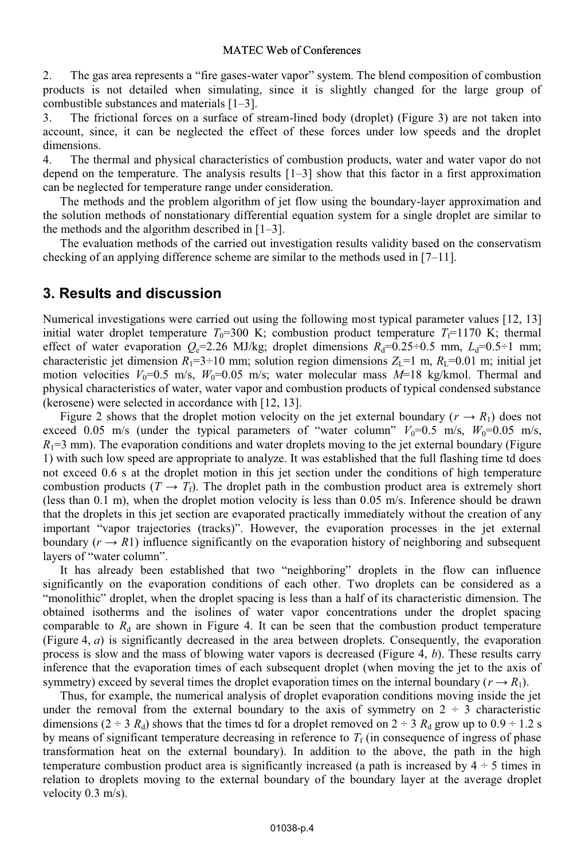2. The gas area represents a "fire gases-water vapor" system. The blend composition of combustion products is not detailed when simulating, since it is slightly changed for the large group of combustible substances and materials [1–3].

3. The frictional forces on a surface of stream-lined body (droplet) (Figure 3) are not taken into account, since, it can be neglected the effect of these forces under low speeds and the droplet dimensions.

4. The thermal and physical characteristics of combustion products, water and water vapor do not depend on the temperature. The analysis results  $[1-3]$  show that this factor in a first approximation can be neglected for temperature range under consideration.

The methods and the problem algorithm of jet flow using the boundary-layer approximation and the solution methods of nonstationary differential equation system for a single droplet are similar to the methods and the algorithm described in  $[1-3]$ .

The evaluation methods of the carried out investigation results validity based on the conservatism checking of an applying difference scheme are similar to the methods used in [7–11].

## **3. Results and discussion**

Numerical investigations were carried out using the following most typical parameter values [12, 13] initial water droplet temperature  $T_0=300$  K; combustion product temperature  $T_0=1170$  K; thermal effect of water evaporation  $Q_e=2.26$  MJ/kg; droplet dimensions  $R_d=0.25\div0.5$  mm,  $L_d=0.5\div1$  mm; characteristic jet dimension  $R_1$ =3÷10 mm; solution region dimensions  $Z_L$ =1 m,  $R_L$ =0.01 m; initial jet motion velocities  $V_0=0.5$  m/s,  $W_0=0.05$  m/s; water molecular mass  $M=18$  kg/kmol. Thermal and physical characteristics of water, water vapor and combustion products of typical condensed substance (kerosene) were selected in accordance with [12, 13].

Figure 2 shows that the droplet motion velocity on the jet external boundary ( $r \rightarrow R_1$ ) does not exceed 0.05 m/s (under the typical parameters of "water column"  $V_0=0.5$  m/s,  $W_0=0.05$  m/s,  $R_1$ =3 mm). The evaporation conditions and water droplets moving to the jet external boundary (Figure 1) with such low speed are appropriate to analyze. It was established that the full flashing time td does not exceed 0.6 s at the droplet motion in this jet section under the conditions of high temperature combustion products  $(T \rightarrow T_f)$ . The droplet path in the combustion product area is extremely short (less than 0.1 m), when the droplet motion velocity is less than 0.05 m/s. Inference should be drawn that the droplets in this jet section are evaporated practically immediately without the creation of any important "vapor trajectories (tracks)". However, the evaporation processes in the jet external boundary  $(r \rightarrow R1)$  influence significantly on the evaporation history of neighboring and subsequent layers of "water column".

It has already been established that two "neighboring" droplets in the flow can influence significantly on the evaporation conditions of each other. Two droplets can be considered as a "monolithic" droplet, when the droplet spacing is less than a half of its characteristic dimension. The obtained isotherms and the isolines of water vapor concentrations under the droplet spacing comparable to  $R_d$  are shown in Figure 4. It can be seen that the combustion product temperature (Figure 4, *a*) is significantly decreased in the area between droplets. Consequently, the evaporation process is slow and the mass of blowing water vapors is decreased (Figure 4, *b*). These results carry inference that the evaporation times of each subsequent droplet (when moving the jet to the axis of symmetry) exceed by several times the droplet evaporation times on the internal boundary ( $r \rightarrow R_1$ ).

Thus, for example, the numerical analysis of droplet evaporation conditions moving inside the jet under the removal from the external boundary to the axis of symmetry on  $2 \div 3$  characteristic dimensions  $(2 \div 3 R_d)$  shows that the times td for a droplet removed on  $2 \div 3 R_d$  grow up to  $0.9 \div 1.2$  s by means of significant temperature decreasing in reference to  $T_f$  (in consequence of ingress of phase transformation heat on the external boundary). In addition to the above, the path in the high temperature combustion product area is significantly increased (a path is increased by  $4 \div 5$  times in relation to droplets moving to the external boundary of the boundary layer at the average droplet velocity 0.3 m/s).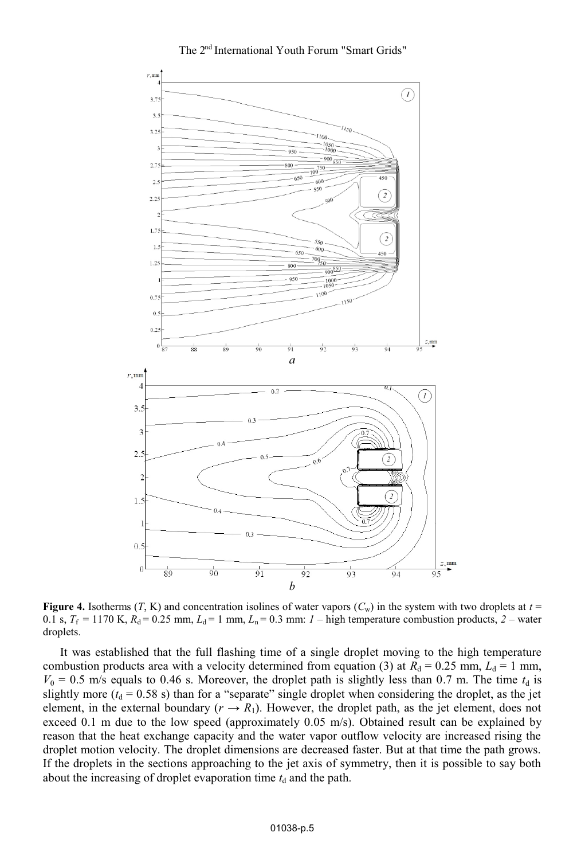

**Figure 4.** Isotherms  $(T, K)$  and concentration isolines of water vapors  $(C_w)$  in the system with two droplets at  $t =$ 0.1 s,  $T_f = 1170$  K,  $R_d = 0.25$  mm,  $L_d = 1$  mm,  $L_n = 0.3$  mm:  $I$  – high temperature combustion products,  $2$  – water droplets.

It was established that the full flashing time of a single droplet moving to the high temperature combustion products area with a velocity determined from equation (3) at  $R_d = 0.25$  mm,  $L_d = 1$  mm,  $V_0 = 0.5$  m/s equals to 0.46 s. Moreover, the droplet path is slightly less than 0.7 m. The time  $t_d$  is slightly more  $(t<sub>d</sub> = 0.58 s)$  than for a "separate" single droplet when considering the droplet, as the jet element, in the external boundary ( $r \rightarrow R_1$ ). However, the droplet path, as the jet element, does not exceed 0.1 m due to the low speed (approximately 0.05 m/s). Obtained result can be explained by reason that the heat exchange capacity and the water vapor outflow velocity are increased rising the droplet motion velocity. The droplet dimensions are decreased faster. But at that time the path grows. If the droplets in the sections approaching to the jet axis of symmetry, then it is possible to say both about the increasing of droplet evaporation time  $t_d$  and the path.